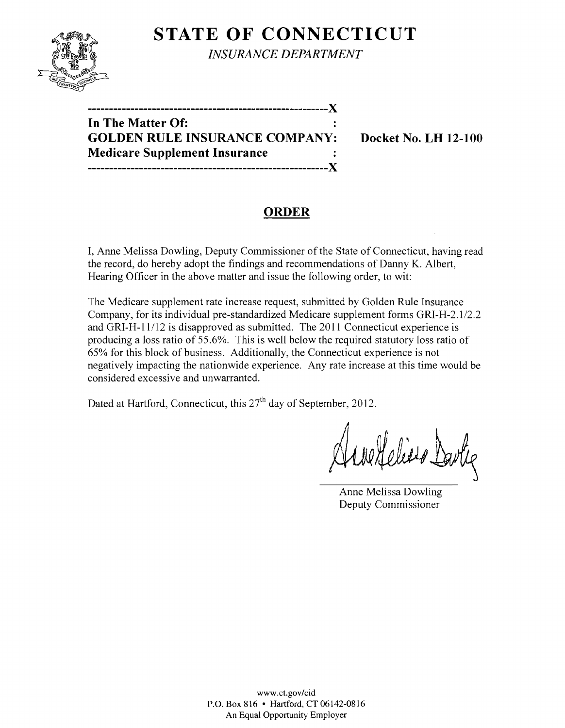

**STATE OF CONNECTICUT** 

*INSURANCE DEPARTMENT* 

| In The Matter Of:                     |  |
|---------------------------------------|--|
| <b>GOLDEN RULE INSURANCE COMPANY:</b> |  |
| <b>Medicare Supplement Insurance</b>  |  |
| -----------------------------------X  |  |

**Docket No. LH 12-100** 

# **ORDER**

I, Anne Melissa Dowling, Deputy Commissioner of the State of Connecticut, having read the record, do hereby adopt the findings and recommendations of Danny K. Albert, Hearing Officer in the above matter and issue the following order, to wit:

The Medicare supplement rate increase request, submitted by Golden Rule Insurance Company, for its individual pre-standardized Medicare supplement forms GRI-H-2.1/2.2 and GRI-H-11/12 is disapproved as submitted. The 2011 Connecticut experience is producing a loss ratio of 55.6%. This is well below the required statutory loss ratio of 65% for this block of business. Additionally, the Connecticut experience is not negatively impacting the nationwide experience. Any rate increase at this time would be considered excessive and unwarranted.

Dated at Hartford, Connecticut, this 27<sup>th</sup> day of September, 2012.

We Gelino Davlie

Anne Melissa Dowling Deputy Commissioner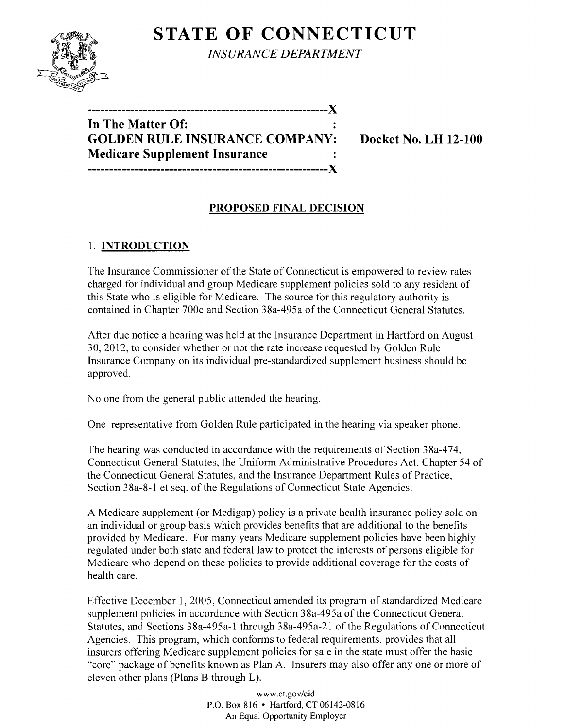# **STATE OF CONNECTICUT**



*INSURANCE DEPARTMENT* 

**--------------------------------------------------------)( In The Matter Of: GOLDEN RULE INSURANCE COMPANY: Docket No. LH 12-100 Medicare Supplement Insurance --------------------------------------------------------)(** 

## **PROPOSED FINAL DECISION**

# 1. **INTRODUCTION**

The Insurance Commissioner of the State of Connecticut is empowered to review rates charged for individual and group Medicare supplement policies sold to any resident of this State who is eligible for Medicare. The source for this regulatory authority is contained in Chapter 700c and Section 38a-495a of the Connecticut General Statutes.

After due notice a hearing was held at the Insurance Department in Hartford on August 30,2012, to consider whether or not the rate increase requested by Golden Rule Insurance Company on its individual pre-standardized supplement business should be approved.

No one from the general public attended the hearing.

One representative from Golden Rule participated in the hearing via speaker phone.

The hearing was conducted in accordance with the requirements of Section 38a-474, Connecticut General Statutes, the Uniform Administrative Procedures Act, Chapter 54 of the Connecticut General Statutes, and the Insurance Department Rules of Practice, Section 38a-8-1 et seq. of the Regulations of Connecticut State Agencies.

A Medicare supplement (or Medigap) policy is a private health insurance policy sold on an individual or group basis which provides benefits that are additional to the benefits provided by Medicare. For many years Medicare supplement policies have been highly regulated under both state and federal law to protect the interests of persons eligible for Medicare who depend on these policies to provide additional coverage for the costs of health care.

Effective December 1, 2005, Connecticut amended its program of standardized Medicare supplement policies in accordance with Section 38a-495a of the Connecticut General Statutes, and Sections 38a-495a-1 through 38a-495a-21 of the Regulations of Connecticut Agencies. This program, which conforms to federal requirements, provides that all insurers offering Medicare supplement policies for sale in the state must offer the basic "core" package of benefits known as Plan A. Insurers may also offer anyone or more of eleven other plans (Plans B through L).

> www.CLgov/cid P.O. Box 816 • Hartford, CT 06142-0816 An Equal Opportunity Employer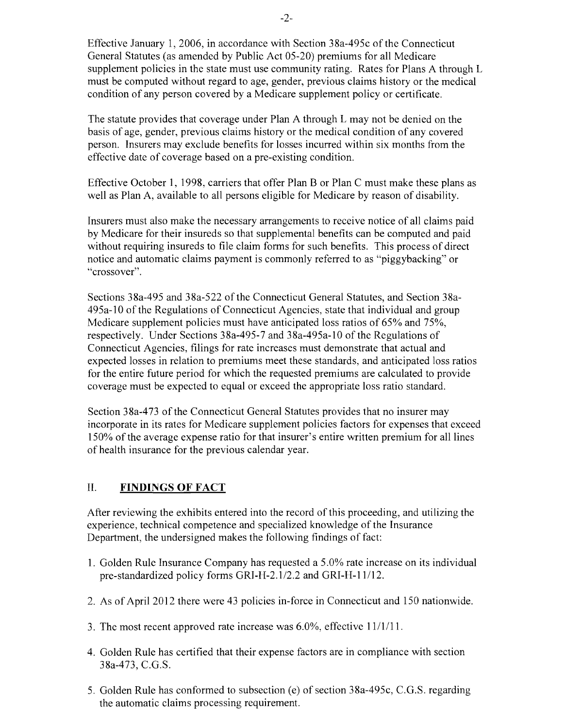Effective January 1, 2006, in accordance with Section 38a-495c of the Connecticut General Statutes (as amended by Public Act 05-20) premiums for all Medicare supplement policies in the state must use community rating. Rates for Plans A through L must be computed without regard to age, gender, previous claims history or the medical condition of any person covered by a Medicare supplement policy or certificate.

The statute provides that coverage under Plan A through L may not be denied on the basis of age, gender, previous claims history or the medical condition of any covered person. Insurers may exclude benefits for losses incurred within six months from the effective date of coverage based on a pre-existing condition.

Effective October 1, 1998, carriers that offer Plan B or Plan C must make these plans as well as Plan A, available to all persons eligible for Medicare by reason of disability.

Insurers must also make the necessary arrangements to receive notice of all claims paid by Medicare for their insureds so that supplemental benefits can be computed and paid without requiring insureds to file claim forms for such benefits. This process of direct notice and automatic claims payment is commonly referred to as "piggybacking" or "crossover".

Sections 38a-495 and 38a-522 of the Connecticut General Statutes, and Section 38a-495a-10 of the Regulations of Connecticut Agencies, state that individual and group Medicare supplement policies must have anticipated loss ratios of 65% and 75%, respectively. Under Sections 38a-495-7 and 38a-495a-10 of the Regulations of Connecticut Agencies, filings for rate increases must demonstrate that actual and expected losses in relation to premiums meet these standards, and anticipated loss ratios for the entire future period for which the requested premiums are calculated to provide coverage must be expected to equal or exceed the appropriate loss ratio standard.

Section 38a-473 of the Connecticut General Statutes provides that no insurer may incorporate in its rates for Medicare supplement policies factors for expenses that exceed 150% of the average expense ratio for that insurer's entire written premium for all lines of health insurance for the previous calendar year.

### **II. FINDINGS OF FACT**

After reviewing the exhibits entered into the record of this proceeding, and utilizing the experience, technical competence and specialized knowledge of the Insurance Department, the undersigned makes the following findings of fact:

- 1. Golden Rule Insurance Company has requested a 5.0% rate increase on its individual pre-standardized policy forms GRI-H-2.1/2.2 and GRI-H-11/12.
- 2. As of April 2012 there were 43 policies in-force in Connecticut and 150 nationwide.
- 3. The most recent approved rate increase was  $6.0\%$ , effective  $11/1/11$ .
- 4. Golden Rule has certified that their expense factors are in compliance with section 38a-473, C.G.S.
- 5. Golden Rule has conformed to subsection (e) of section 38a-495c, C.G.S. regarding the automatic claims processing requirement.